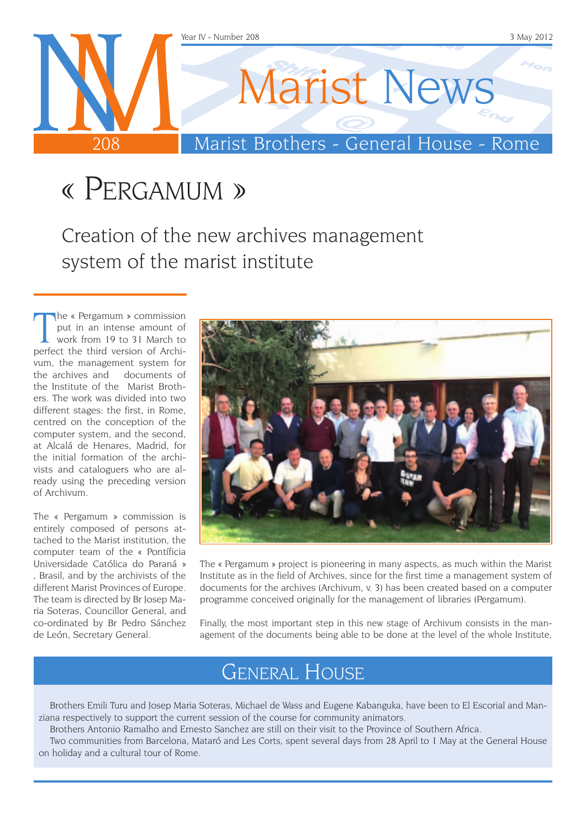

## « Pergamum »

Creation of the new archives management system of the marist institute

The « Pergamum » commission<br>put in an intense amount of<br>work from 19 to 31 March to<br>perfect the third version of Archihe « Pergamum » commission put in an intense amount of work from 19 to 31 March to vum, the management system for the archives and documents of the Institute of the Marist Brothers. The work was divided into two different stages: the first, in Rome, centred on the conception of the computer system, and the second, at Alcalá de Henares, Madrid, for the initial formation of the archivists and cataloguers who are already using the preceding version of Archivum.

The « Pergamum » commission is entirely composed of persons attached to the Marist institution, the computer team of the « Pontíficia Universidade Católica do Paraná » , Brasil, and by the archivists of the different Marist Provinces of Europe. The team is directed by Br Josep Maria Soteras, Councillor General, and co-ordinated by Br Pedro Sánchez de León, Secretary General.



The « Pergamum » project is pioneering in many aspects, as much within the Marist Institute as in the field of Archives, since for the first time a management system of documents for the archives (Archivum, v. 3) has been created based on a computer programme conceived originally for the management of libraries (Pergamum).

Finally, the most important step in this new stage of Archivum consists in the management of the documents being able to be done at the level of the whole Institute,

## General House

Brothers Emili Turu and Josep Maria Soteras, Michael de Wass and Eugene Kabanguka, have been to El Escorial and Manziana respectively to support the current session of the course for community animators.

Brothers Antonio Ramalho and Ernesto Sanchez are still on their visit to the Province of Southern Africa.

Two communities from Barcelona, Mataró and Les Corts, spent several days from 28 April to 1 May at the General House on holiday and a cultural tour of Rome.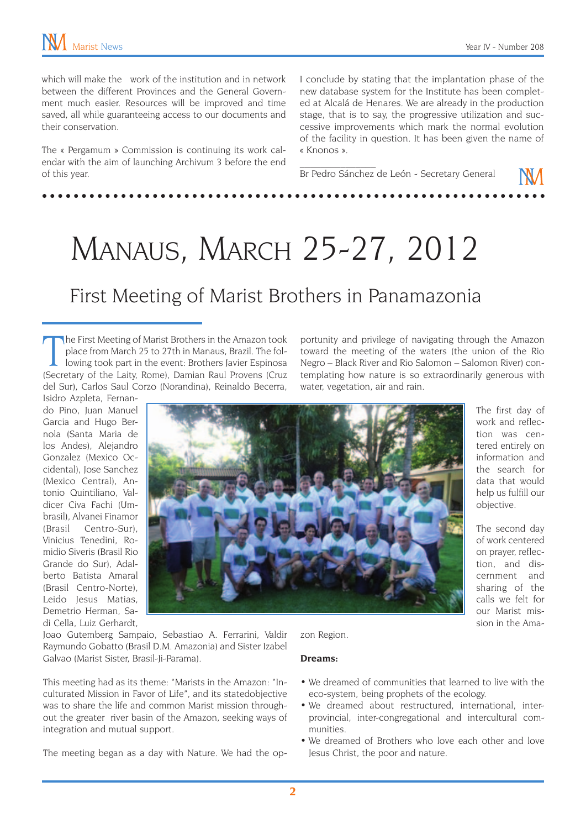which will make the work of the institution and in network between the different Provinces and the General Government much easier. Resources will be improved and time saved, all while guaranteeing access to our documents and their conservation.

The « Pergamum » Commission is continuing its work calendar with the aim of launching Archivum 3 before the end of this year.

I conclude by stating that the implantation phase of the new database system for the Institute has been completed at Alcalá de Henares. We are already in the production stage, that is to say, the progressive utilization and successive improvements which mark the normal evolution of the facility in question. It has been given the name of « Knonos ».

portunity and privilege of navigating through the Amazon toward the meeting of the waters (the union of the Rio Negro – Black River and Rio Salomon – Salomon River) contemplating how nature is so extraordinarily generous with

Br Pedro Sánchez de León - Secretary General

 $\overline{\phantom{a}}$  , where  $\overline{\phantom{a}}$ 

water, vegetation, air and rain.

# Manaus, March 25-27, 2012

### First Meeting of Marist Brothers in Panamazonia

The First Meeting of Marist Brothers in the Amazon took place from March 25 to 27th in Manaus, Brazil. The following took part in the event: Brothers Javier Espinosa (Secretary of the Laity, Rome), Damian Raul Provens (Cru he First Meeting of Marist Brothers in the Amazon took place from March 25 to 27th in Manaus, Brazil. The following took part in the event: Brothers Javier Espinosa del Sur), Carlos Saul Corzo (Norandina), Reinaldo Becerra,

Isidro Azpleta, Fernando Pino, Juan Manuel Garcia and Hugo Bernola (Santa Maria de los Andes), Alejandro Gonzalez (Mexico Occidental), Jose Sanchez (Mexico Central), Antonio Quintiliano, Valdicer Civa Fachi (Umbrasil), Alvanei Finamor (Brasil Centro-Sur), Vinicius Tenedini, Romidio Siveris (Brasil Rio Grande do Sur), Adalberto Batista Amaral (Brasil Centro-Norte), Leido Jesus Matias, Demetrio Herman, Sadi Cella, Luiz Gerhardt,



The first day of work and reflection was centered entirely on information and the search for data that would help us fulfill our objective.

The second day of work centered on prayer, reflection, and discernment and sharing of the calls we felt for our Marist mission in the Ama-

Joao Gutemberg Sampaio, Sebastiao A. Ferrarini, Valdir Raymundo Gobatto (Brasil D.M. Amazonia) and Sister Izabel Galvao (Marist Sister, Brasil-Ji-Parama).

This meeting had as its theme: "Marists in the Amazon: "Inculturated Mission in Favor of Life", and its statedobjective was to share the life and common Marist mission throughout the greater river basin of the Amazon, seeking ways of integration and mutual support.

The meeting began as a day with Nature. We had the op-

#### zon Region.

#### **Dreams:**

- We dreamed of communities that learned to live with the eco-system, being prophets of the ecology.
- We dreamed about restructured, international, interprovincial, inter-congregational and intercultural communities.
- We dreamed of Brothers who love each other and love Jesus Christ, the poor and nature.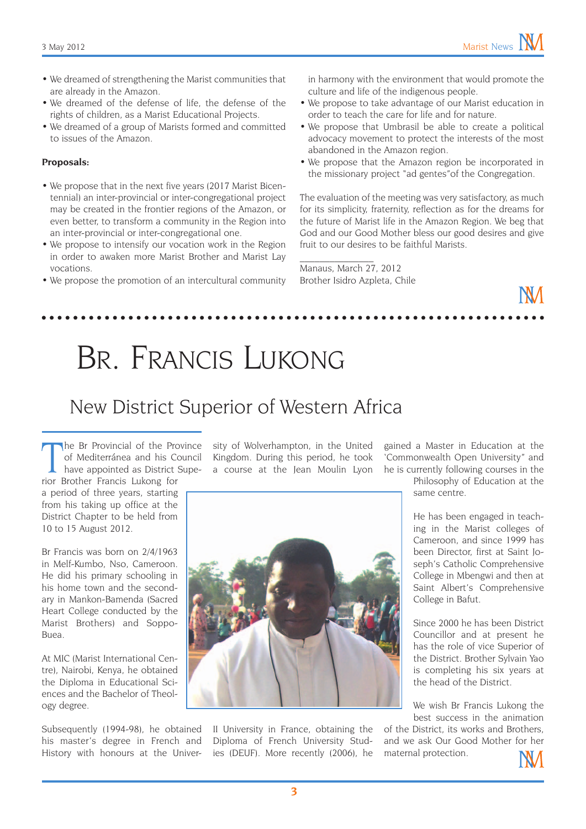- We dreamed of strengthening the Marist communities that are already in the Amazon.
- • We dreamed of the defense of life, the defense of the rights of children, as a Marist Educational Projects.
- We dreamed of a group of Marists formed and committed to issues of the Amazon.

#### **Proposals:**

- We propose that in the next five years (2017 Marist Bicentennial) an inter-provincial or inter-congregational project may be created in the frontier regions of the Amazon, or even better, to transform a community in the Region into an inter-provincial or inter-congregational one.
- We propose to intensify our vocation work in the Region in order to awaken more Marist Brother and Marist Lay vocations.
- We propose the promotion of an intercultural community

in harmony with the environment that would promote the culture and life of the indigenous people.

- • We propose to take advantage of our Marist education in order to teach the care for life and for nature.
- We propose that Umbrasil be able to create a political advocacy movement to protect the interests of the most abandoned in the Amazon region.
- We propose that the Amazon region be incorporated in the missionary project "ad gentes"of the Congregation.

The evaluation of the meeting was very satisfactory, as much for its simplicity, fraternity, reflection as for the dreams for the future of Marist life in the Amazon Region. We beg that God and our Good Mother bless our good desires and give fruit to our desires to be faithful Marists.

Manaus, March 27, 2012 Brother Isidro Azpleta, Chile

 $\mathcal{L}_\text{max}$ 

# Br. Francis Lukong

### New District Superior of Western Africa

The Br Provincial of the Pro<br>
of Mediterránea and his Co<br>
have appointed as District S<br>
rior Brother Francis Lukong for he Br Provincial of the Province of Mediterránea and his Council have appointed as District Supe-

a period of three years, starting from his taking up office at the District Chapter to be held from 10 to 15 August 2012.

Br Francis was born on 2/4/1963 in Melf-Kumbo, Nso, Cameroon. He did his primary schooling in his home town and the secondary in Mankon-Bamenda (Sacred Heart College conducted by the Marist Brothers) and Soppo- $R_{11}$  $\cap$ 

At MIC (Marist International Centre), Nairobi, Kenya, he obtained the Diploma in Educational Sciences and the Bachelor of Theology degree.

Subsequently (1994-98), he obtained his master's degree in French and History with honours at the Univer-

sity of Wolverhampton, in the United Kingdom. During this period, he took a course at the Jean Moulin Lyon



II University in France, obtaining the Diploma of French University Studies (DEUF). More recently (2006), he

gained a Master in Education at the 'Commonwealth Open University" and he is currently following courses in the

Philosophy of Education at the same centre.

He has been engaged in teaching in the Marist colleges of Cameroon, and since 1999 has been Director, first at Saint Joseph's Catholic Comprehensive College in Mbengwi and then at Saint Albert's Comprehensive College in Bafut.

Since 2000 he has been District Councillor and at present he has the role of vice Superior of the District. Brother Sylvain Yao is completing his six years at the head of the District.

We wish Br Francis Lukong the best success in the animation

of the District, its works and Brothers, and we ask Our Good Mother for her maternal protection.